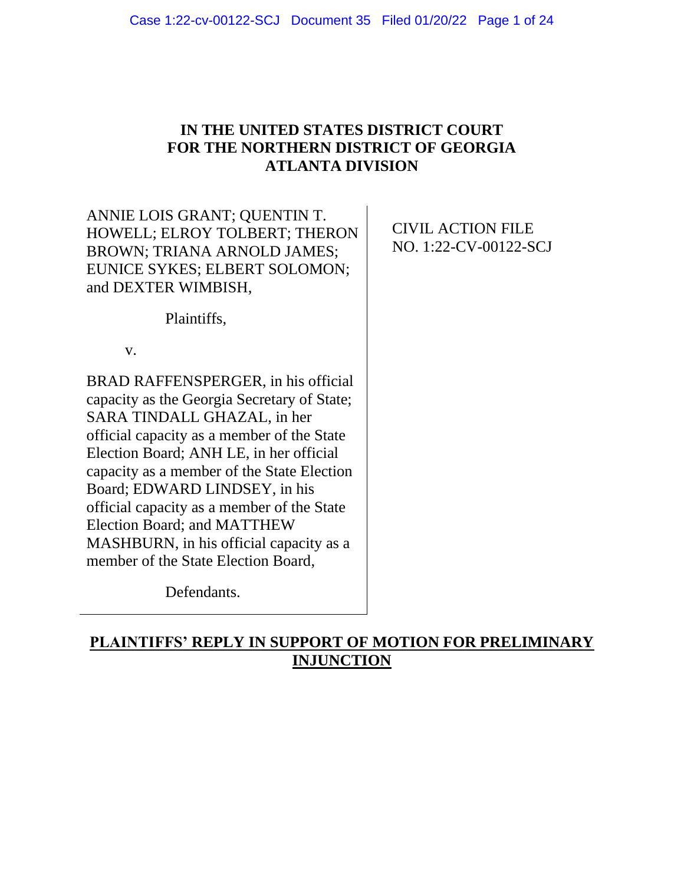## **IN THE UNITED STATES DISTRICT COURT FOR THE NORTHERN DISTRICT OF GEORGIA ATLANTA DIVISION**

ANNIE LOIS GRANT; QUENTIN T. HOWELL; ELROY TOLBERT; THERON BROWN; TRIANA ARNOLD JAMES; EUNICE SYKES; ELBERT SOLOMON; and DEXTER WIMBISH,

CIVIL ACTION FILE NO. 1:22-CV-00122-SCJ

Plaintiffs,

v.

BRAD RAFFENSPERGER, in his official capacity as the Georgia Secretary of State; SARA TINDALL GHAZAL, in her official capacity as a member of the State Election Board; ANH LE, in her official capacity as a member of the State Election Board; EDWARD LINDSEY, in his official capacity as a member of the State Election Board; and MATTHEW MASHBURN, in his official capacity as a member of the State Election Board,

Defendants.

# **PLAINTIFFS' REPLY IN SUPPORT OF MOTION FOR PRELIMINARY INJUNCTION**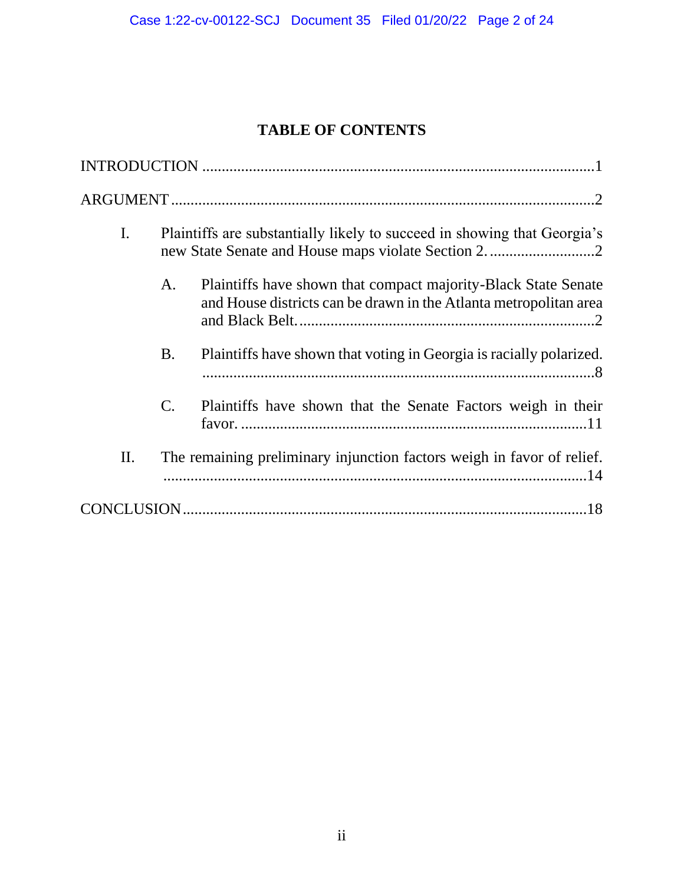# **TABLE OF CONTENTS**

| I. |                                                                        | Plaintiffs are substantially likely to succeed in showing that Georgia's                                                            |  |
|----|------------------------------------------------------------------------|-------------------------------------------------------------------------------------------------------------------------------------|--|
|    | A.                                                                     | Plaintiffs have shown that compact majority-Black State Senate<br>and House districts can be drawn in the Atlanta metropolitan area |  |
|    | <b>B.</b>                                                              | Plaintiffs have shown that voting in Georgia is racially polarized.                                                                 |  |
|    | $\mathbf{C}$ .                                                         | Plaintiffs have shown that the Senate Factors weigh in their                                                                        |  |
| Π. | The remaining preliminary injunction factors weigh in favor of relief. |                                                                                                                                     |  |
|    |                                                                        |                                                                                                                                     |  |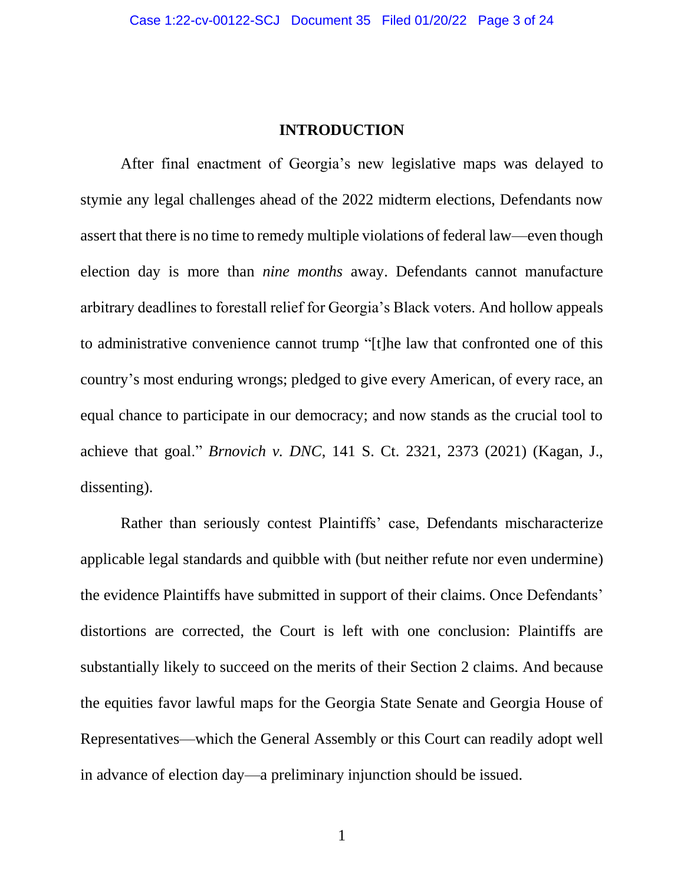#### **INTRODUCTION**

<span id="page-2-0"></span>After final enactment of Georgia's new legislative maps was delayed to stymie any legal challenges ahead of the 2022 midterm elections, Defendants now assert that there is no time to remedy multiple violations of federal law—even though election day is more than *nine months* away. Defendants cannot manufacture arbitrary deadlines to forestall relief for Georgia's Black voters. And hollow appeals to administrative convenience cannot trump "[t]he law that confronted one of this country's most enduring wrongs; pledged to give every American, of every race, an equal chance to participate in our democracy; and now stands as the crucial tool to achieve that goal." *Brnovich v. DNC*, 141 S. Ct. 2321, 2373 (2021) (Kagan, J., dissenting).

Rather than seriously contest Plaintiffs' case, Defendants mischaracterize applicable legal standards and quibble with (but neither refute nor even undermine) the evidence Plaintiffs have submitted in support of their claims. Once Defendants' distortions are corrected, the Court is left with one conclusion: Plaintiffs are substantially likely to succeed on the merits of their Section 2 claims. And because the equities favor lawful maps for the Georgia State Senate and Georgia House of Representatives—which the General Assembly or this Court can readily adopt well in advance of election day—a preliminary injunction should be issued.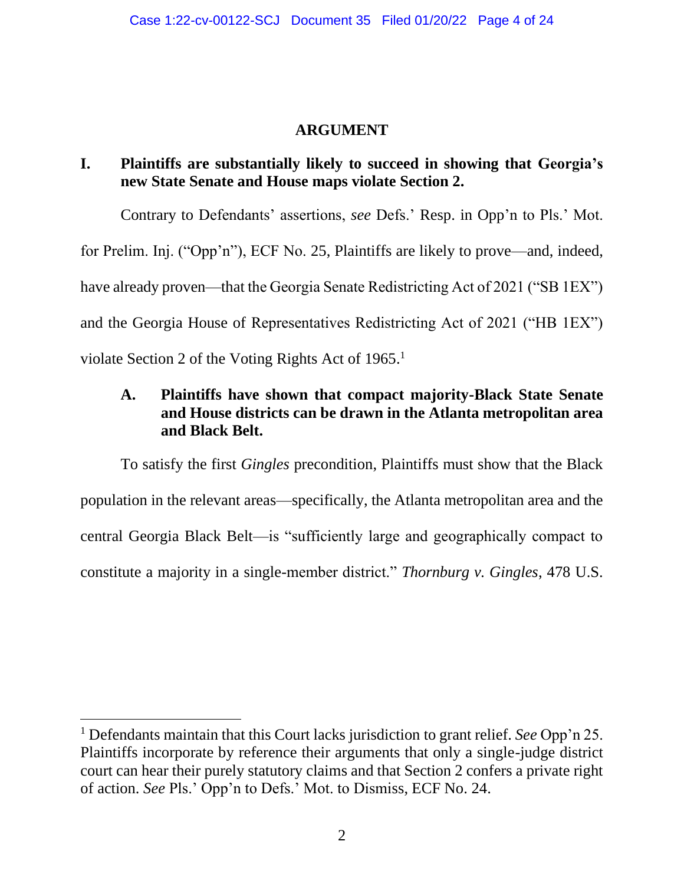### **ARGUMENT**

## <span id="page-3-1"></span><span id="page-3-0"></span>**I. Plaintiffs are substantially likely to succeed in showing that Georgia's new State Senate and House maps violate Section 2.**

Contrary to Defendants' assertions, *see* Defs.' Resp. in Opp'n to Pls.' Mot. for Prelim. Inj. ("Opp'n"), ECF No. 25, Plaintiffs are likely to prove—and, indeed, have already proven—that the Georgia Senate Redistricting Act of 2021 ("SB 1EX") and the Georgia House of Representatives Redistricting Act of 2021 ("HB 1EX") violate Section 2 of the Voting Rights Act of 1965.<sup>1</sup>

## <span id="page-3-2"></span>**A. Plaintiffs have shown that compact majority-Black State Senate and House districts can be drawn in the Atlanta metropolitan area and Black Belt.**

To satisfy the first *Gingles* precondition, Plaintiffs must show that the Black population in the relevant areas—specifically, the Atlanta metropolitan area and the central Georgia Black Belt—is "sufficiently large and geographically compact to constitute a majority in a single-member district." *Thornburg v. Gingles*, 478 U.S.

<sup>1</sup> Defendants maintain that this Court lacks jurisdiction to grant relief. *See* Opp'n 25. Plaintiffs incorporate by reference their arguments that only a single-judge district court can hear their purely statutory claims and that Section 2 confers a private right of action. *See* Pls.' Opp'n to Defs.' Mot. to Dismiss, ECF No. 24.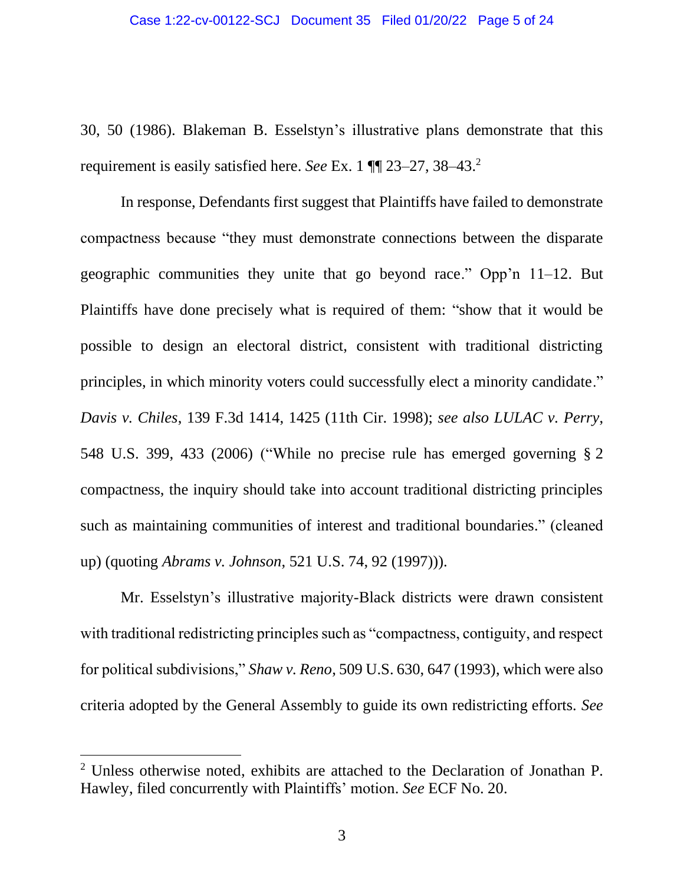30, 50 (1986). Blakeman B. Esselstyn's illustrative plans demonstrate that this requirement is easily satisfied here. *See* Ex. 1 ¶¶ 23–27, 38–43. 2

In response, Defendants first suggest that Plaintiffs have failed to demonstrate compactness because "they must demonstrate connections between the disparate geographic communities they unite that go beyond race." Opp'n 11–12. But Plaintiffs have done precisely what is required of them: "show that it would be possible to design an electoral district, consistent with traditional districting principles, in which minority voters could successfully elect a minority candidate." *Davis v. Chiles*, 139 F.3d 1414, 1425 (11th Cir. 1998); *see also LULAC v. Perry*, 548 U.S. 399, 433 (2006) ("While no precise rule has emerged governing § 2 compactness, the inquiry should take into account traditional districting principles such as maintaining communities of interest and traditional boundaries." (cleaned up) (quoting *Abrams v. Johnson*, 521 U.S. 74, 92 (1997))).

Mr. Esselstyn's illustrative majority-Black districts were drawn consistent with traditional redistricting principles such as "compactness, contiguity, and respect for political subdivisions," *Shaw v. Reno*, 509 U.S. 630, 647 (1993), which were also criteria adopted by the General Assembly to guide its own redistricting efforts. *See*

<sup>&</sup>lt;sup>2</sup> Unless otherwise noted, exhibits are attached to the Declaration of Jonathan P. Hawley, filed concurrently with Plaintiffs' motion. *See* ECF No. 20.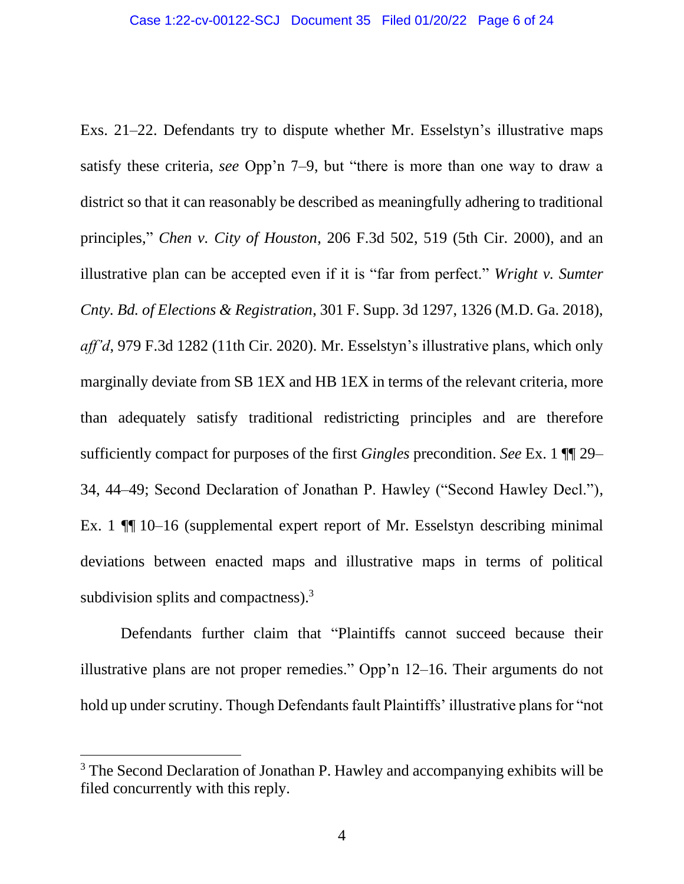Exs. 21–22. Defendants try to dispute whether Mr. Esselstyn's illustrative maps satisfy these criteria, *see* Opp'n 7–9, but "there is more than one way to draw a district so that it can reasonably be described as meaningfully adhering to traditional principles," *Chen v. City of Houston*, 206 F.3d 502, 519 (5th Cir. 2000), and an illustrative plan can be accepted even if it is "far from perfect." *Wright v. Sumter Cnty. Bd. of Elections & Registration*, 301 F. Supp. 3d 1297, 1326 (M.D. Ga. 2018), *aff'd*, 979 F.3d 1282 (11th Cir. 2020). Mr. Esselstyn's illustrative plans, which only marginally deviate from SB 1EX and HB 1EX in terms of the relevant criteria, more than adequately satisfy traditional redistricting principles and are therefore sufficiently compact for purposes of the first *Gingles* precondition. *See* Ex. 1 ¶¶ 29– 34, 44–49; Second Declaration of Jonathan P. Hawley ("Second Hawley Decl."), Ex. 1 ¶¶ 10–16 (supplemental expert report of Mr. Esselstyn describing minimal deviations between enacted maps and illustrative maps in terms of political subdivision splits and compactness).<sup>3</sup>

Defendants further claim that "Plaintiffs cannot succeed because their illustrative plans are not proper remedies." Opp'n 12–16. Their arguments do not hold up under scrutiny. Though Defendants fault Plaintiffs' illustrative plans for "not

<sup>&</sup>lt;sup>3</sup> The Second Declaration of Jonathan P. Hawley and accompanying exhibits will be filed concurrently with this reply.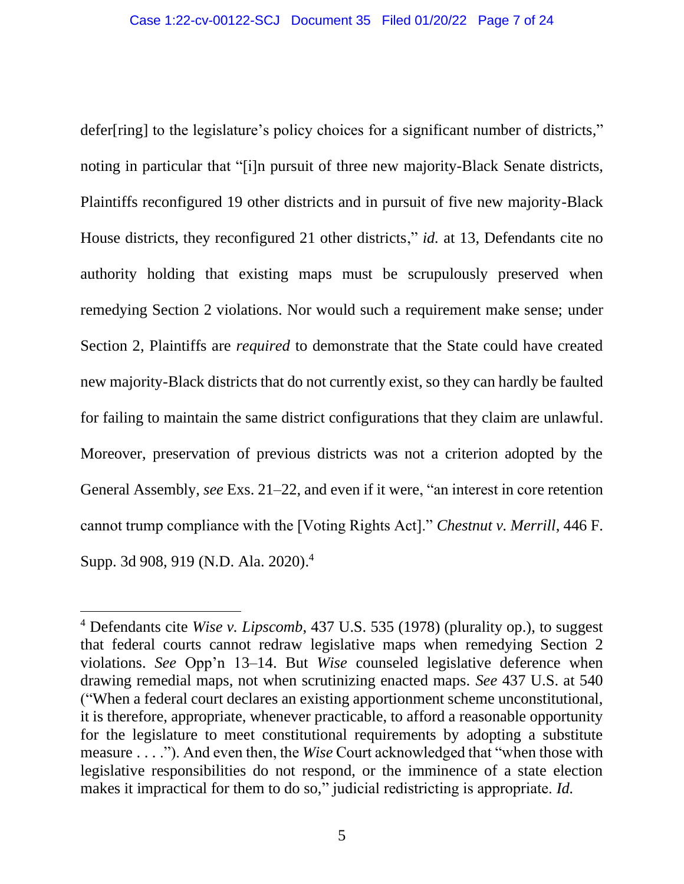defer[ring] to the legislature's policy choices for a significant number of districts," noting in particular that "[i]n pursuit of three new majority-Black Senate districts, Plaintiffs reconfigured 19 other districts and in pursuit of five new majority-Black House districts, they reconfigured 21 other districts," *id.* at 13, Defendants cite no authority holding that existing maps must be scrupulously preserved when remedying Section 2 violations. Nor would such a requirement make sense; under Section 2, Plaintiffs are *required* to demonstrate that the State could have created new majority-Black districts that do not currently exist, so they can hardly be faulted for failing to maintain the same district configurations that they claim are unlawful. Moreover, preservation of previous districts was not a criterion adopted by the General Assembly, *see* Exs. 21–22, and even if it were, "an interest in core retention cannot trump compliance with the [Voting Rights Act]." *Chestnut v. Merrill*, 446 F. Supp. 3d 908, 919 (N.D. Ala. 2020).<sup>4</sup>

<sup>4</sup> Defendants cite *Wise v. Lipscomb*, 437 U.S. 535 (1978) (plurality op.), to suggest that federal courts cannot redraw legislative maps when remedying Section 2 violations. *See* Opp'n 13–14. But *Wise* counseled legislative deference when drawing remedial maps, not when scrutinizing enacted maps. *See* 437 U.S. at 540 ("When a federal court declares an existing apportionment scheme unconstitutional, it is therefore, appropriate, whenever practicable, to afford a reasonable opportunity for the legislature to meet constitutional requirements by adopting a substitute measure . . . ."). And even then, the *Wise* Court acknowledged that "when those with legislative responsibilities do not respond, or the imminence of a state election makes it impractical for them to do so," judicial redistricting is appropriate. *Id.*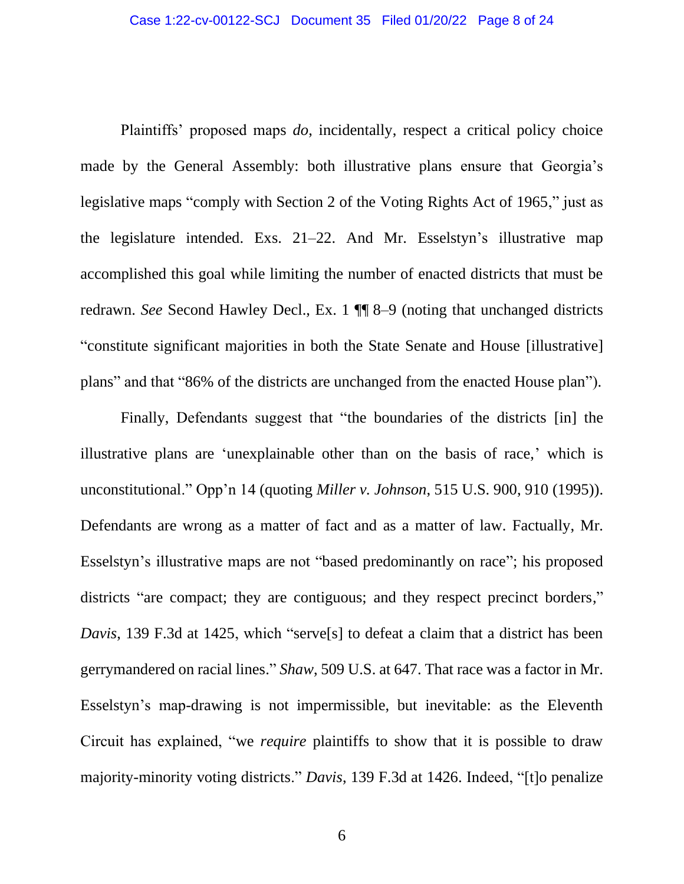Plaintiffs' proposed maps *do*, incidentally, respect a critical policy choice made by the General Assembly: both illustrative plans ensure that Georgia's legislative maps "comply with Section 2 of the Voting Rights Act of 1965," just as the legislature intended. Exs. 21–22. And Mr. Esselstyn's illustrative map accomplished this goal while limiting the number of enacted districts that must be redrawn. *See* Second Hawley Decl., Ex. 1 ¶¶ 8–9 (noting that unchanged districts "constitute significant majorities in both the State Senate and House [illustrative] plans" and that "86% of the districts are unchanged from the enacted House plan").

Finally, Defendants suggest that "the boundaries of the districts [in] the illustrative plans are 'unexplainable other than on the basis of race,' which is unconstitutional." Opp'n 14 (quoting *Miller v. Johnson*, 515 U.S. 900, 910 (1995)). Defendants are wrong as a matter of fact and as a matter of law. Factually, Mr. Esselstyn's illustrative maps are not "based predominantly on race"; his proposed districts "are compact; they are contiguous; and they respect precinct borders," *Davis*, 139 F.3d at 1425, which "serve[s] to defeat a claim that a district has been gerrymandered on racial lines." *Shaw*, 509 U.S. at 647. That race was a factor in Mr. Esselstyn's map-drawing is not impermissible, but inevitable: as the Eleventh Circuit has explained, "we *require* plaintiffs to show that it is possible to draw majority-minority voting districts." *Davis*, 139 F.3d at 1426. Indeed, "[t]o penalize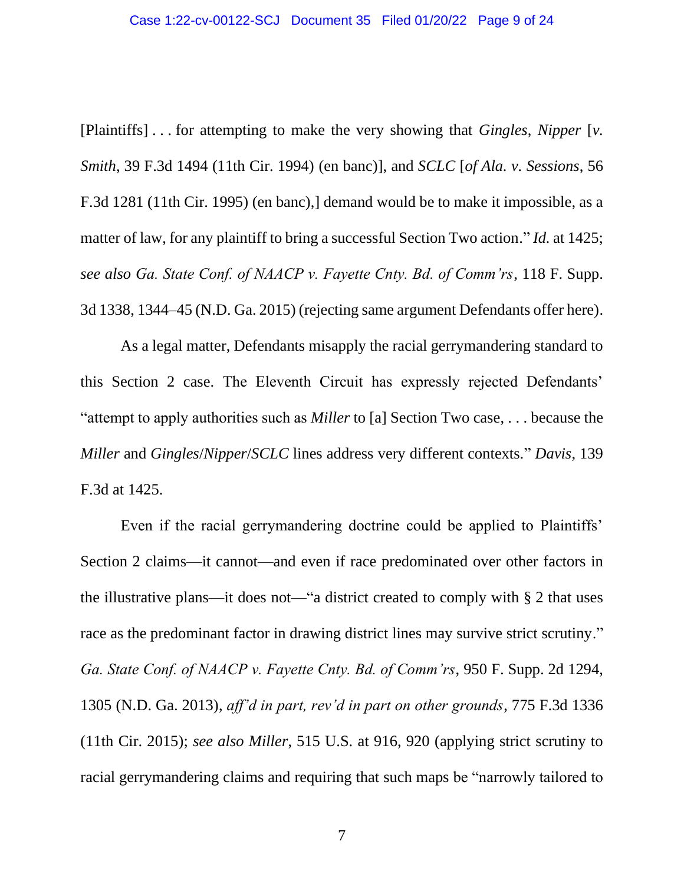[Plaintiffs] . . . for attempting to make the very showing that *Gingles*, *Nipper* [*v. Smith*, 39 F.3d 1494 (11th Cir. 1994) (en banc)], and *SCLC* [*of Ala. v. Sessions*, 56 F.3d 1281 (11th Cir. 1995) (en banc),] demand would be to make it impossible, as a matter of law, for any plaintiff to bring a successful Section Two action." *Id.* at 1425; *see also Ga. State Conf. of NAACP v. Fayette Cnty. Bd. of Comm'rs*, 118 F. Supp. 3d 1338, 1344–45 (N.D. Ga. 2015) (rejecting same argument Defendants offer here).

As a legal matter, Defendants misapply the racial gerrymandering standard to this Section 2 case. The Eleventh Circuit has expressly rejected Defendants' "attempt to apply authorities such as *Miller* to [a] Section Two case, . . . because the *Miller* and *Gingles*/*Nipper*/*SCLC* lines address very different contexts." *Davis*, 139 F.3d at 1425.

Even if the racial gerrymandering doctrine could be applied to Plaintiffs' Section 2 claims—it cannot—and even if race predominated over other factors in the illustrative plans—it does not—"a district created to comply with § 2 that uses race as the predominant factor in drawing district lines may survive strict scrutiny." *Ga. State Conf. of NAACP v. Fayette Cnty. Bd. of Comm'rs*, 950 F. Supp. 2d 1294, 1305 (N.D. Ga. 2013), *aff'd in part, rev'd in part on other grounds*, 775 F.3d 1336 (11th Cir. 2015); *see also Miller*, 515 U.S. at 916, 920 (applying strict scrutiny to racial gerrymandering claims and requiring that such maps be "narrowly tailored to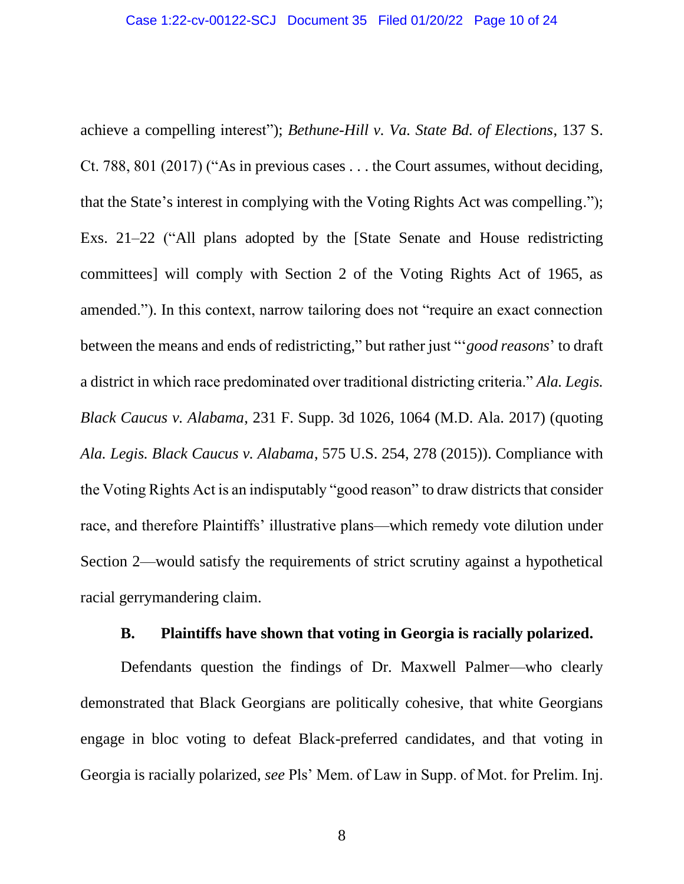achieve a compelling interest"); *Bethune-Hill v. Va. State Bd. of Elections*, 137 S. Ct. 788, 801 (2017) ("As in previous cases . . . the Court assumes, without deciding, that the State's interest in complying with the Voting Rights Act was compelling."); Exs. 21–22 ("All plans adopted by the [State Senate and House redistricting committees] will comply with Section 2 of the Voting Rights Act of 1965, as amended."). In this context, narrow tailoring does not "require an exact connection between the means and ends of redistricting," but rather just "'*good reasons*' to draft a district in which race predominated over traditional districting criteria." *Ala. Legis. Black Caucus v. Alabama*, 231 F. Supp. 3d 1026, 1064 (M.D. Ala. 2017) (quoting *Ala. Legis. Black Caucus v. Alabama*, 575 U.S. 254, 278 (2015)). Compliance with the Voting Rights Act is an indisputably "good reason" to draw districts that consider race, and therefore Plaintiffs' illustrative plans—which remedy vote dilution under Section 2—would satisfy the requirements of strict scrutiny against a hypothetical racial gerrymandering claim.

### **B. Plaintiffs have shown that voting in Georgia is racially polarized.**

<span id="page-9-0"></span>Defendants question the findings of Dr. Maxwell Palmer—who clearly demonstrated that Black Georgians are politically cohesive, that white Georgians engage in bloc voting to defeat Black-preferred candidates, and that voting in Georgia is racially polarized, *see* Pls' Mem. of Law in Supp. of Mot. for Prelim. Inj.

8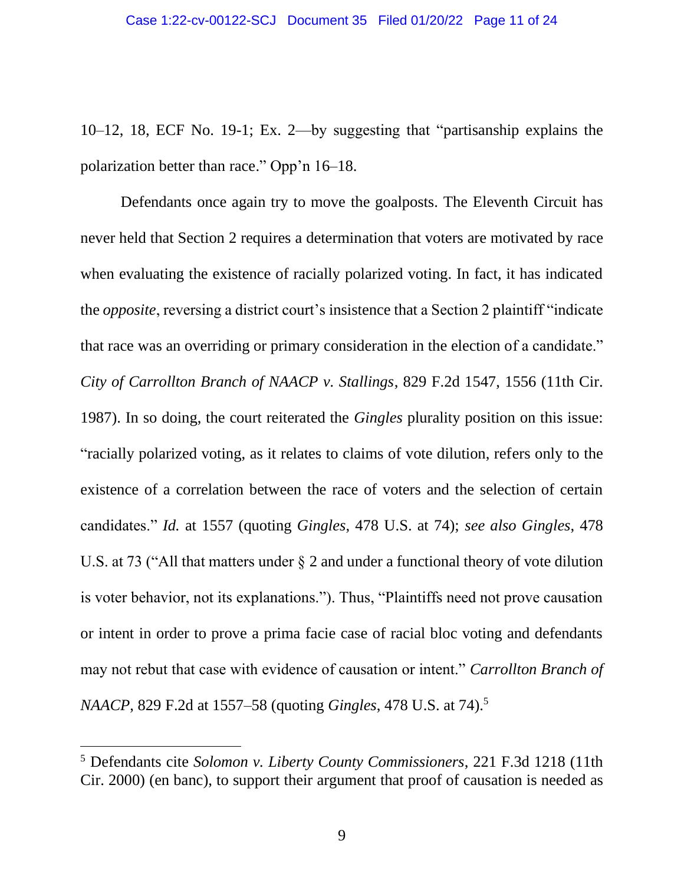10–12, 18, ECF No. 19-1; Ex. 2—by suggesting that "partisanship explains the polarization better than race." Opp'n 16–18.

Defendants once again try to move the goalposts. The Eleventh Circuit has never held that Section 2 requires a determination that voters are motivated by race when evaluating the existence of racially polarized voting. In fact, it has indicated the *opposite*, reversing a district court's insistence that a Section 2 plaintiff "indicate that race was an overriding or primary consideration in the election of a candidate." *City of Carrollton Branch of NAACP v. Stallings*, 829 F.2d 1547, 1556 (11th Cir. 1987). In so doing, the court reiterated the *Gingles* plurality position on this issue: "racially polarized voting, as it relates to claims of vote dilution, refers only to the existence of a correlation between the race of voters and the selection of certain candidates." *Id.* at 1557 (quoting *Gingles*, 478 U.S. at 74); *see also Gingles*, 478 U.S. at 73 ("All that matters under § 2 and under a functional theory of vote dilution is voter behavior, not its explanations."). Thus, "Plaintiffs need not prove causation or intent in order to prove a prima facie case of racial bloc voting and defendants may not rebut that case with evidence of causation or intent." *Carrollton Branch of NAACP*, 829 F.2d at 1557–58 (quoting *Gingles*, 478 U.S. at 74). 5

<sup>5</sup> Defendants cite *Solomon v. Liberty County Commissioners*, 221 F.3d 1218 (11th Cir. 2000) (en banc), to support their argument that proof of causation is needed as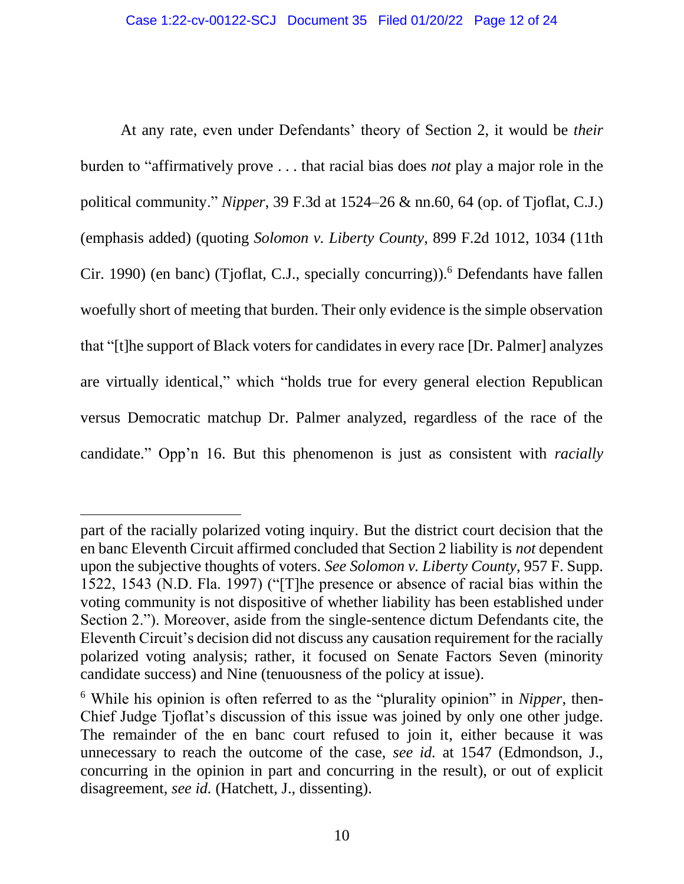At any rate, even under Defendants' theory of Section 2, it would be *their* burden to "affirmatively prove . . . that racial bias does *not* play a major role in the political community." *Nipper*, 39 F.3d at 1524–26 & nn.60, 64 (op. of Tjoflat, C.J.) (emphasis added) (quoting *Solomon v. Liberty County*, 899 F.2d 1012, 1034 (11th Cir. 1990) (en banc) (Tjoflat, C.J., specially concurring)).<sup>6</sup> Defendants have fallen woefully short of meeting that burden. Their only evidence is the simple observation that "[t]he support of Black voters for candidates in every race [Dr. Palmer] analyzes are virtually identical," which "holds true for every general election Republican versus Democratic matchup Dr. Palmer analyzed, regardless of the race of the candidate." Opp'n 16. But this phenomenon is just as consistent with *racially*

part of the racially polarized voting inquiry. But the district court decision that the en banc Eleventh Circuit affirmed concluded that Section 2 liability is *not* dependent upon the subjective thoughts of voters. *See Solomon v. Liberty County*, 957 F. Supp. 1522, 1543 (N.D. Fla. 1997) ("[T]he presence or absence of racial bias within the voting community is not dispositive of whether liability has been established under Section 2."). Moreover, aside from the single-sentence dictum Defendants cite, the Eleventh Circuit's decision did not discuss any causation requirement for the racially polarized voting analysis; rather, it focused on Senate Factors Seven (minority candidate success) and Nine (tenuousness of the policy at issue).

<sup>6</sup> While his opinion is often referred to as the "plurality opinion" in *Nipper*, then-Chief Judge Tjoflat's discussion of this issue was joined by only one other judge. The remainder of the en banc court refused to join it, either because it was unnecessary to reach the outcome of the case, *see id.* at 1547 (Edmondson, J., concurring in the opinion in part and concurring in the result), or out of explicit disagreement, *see id.* (Hatchett, J., dissenting).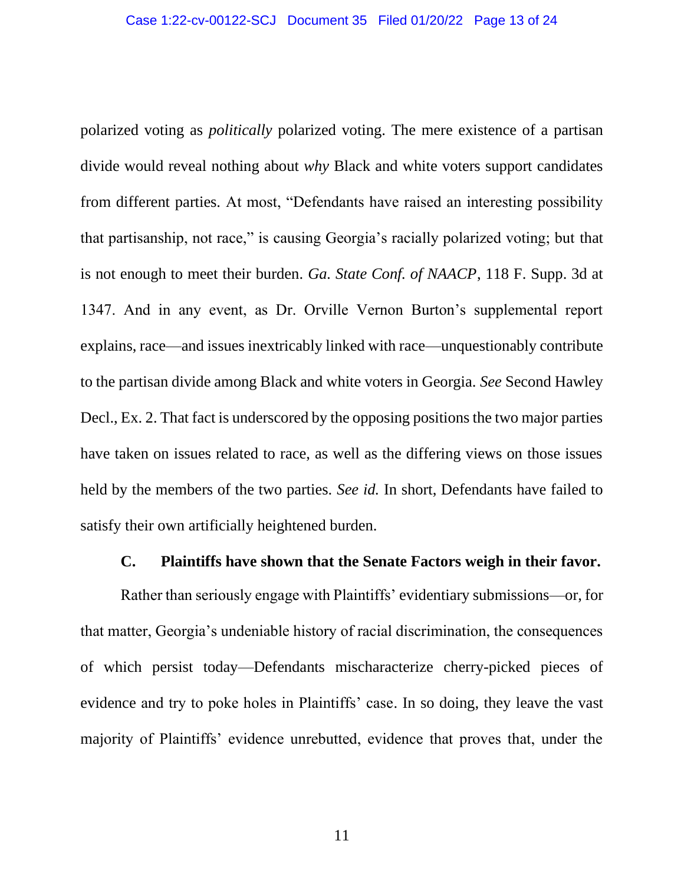polarized voting as *politically* polarized voting. The mere existence of a partisan divide would reveal nothing about *why* Black and white voters support candidates from different parties. At most, "Defendants have raised an interesting possibility that partisanship, not race," is causing Georgia's racially polarized voting; but that is not enough to meet their burden. *Ga. State Conf. of NAACP*, 118 F. Supp. 3d at 1347. And in any event, as Dr. Orville Vernon Burton's supplemental report explains, race—and issues inextricably linked with race—unquestionably contribute to the partisan divide among Black and white voters in Georgia. *See* Second Hawley Decl., Ex. 2. That fact is underscored by the opposing positions the two major parties have taken on issues related to race, as well as the differing views on those issues held by the members of the two parties. *See id.* In short, Defendants have failed to satisfy their own artificially heightened burden.

#### **C. Plaintiffs have shown that the Senate Factors weigh in their favor.**

<span id="page-12-0"></span>Rather than seriously engage with Plaintiffs' evidentiary submissions—or, for that matter, Georgia's undeniable history of racial discrimination, the consequences of which persist today—Defendants mischaracterize cherry-picked pieces of evidence and try to poke holes in Plaintiffs' case. In so doing, they leave the vast majority of Plaintiffs' evidence unrebutted, evidence that proves that, under the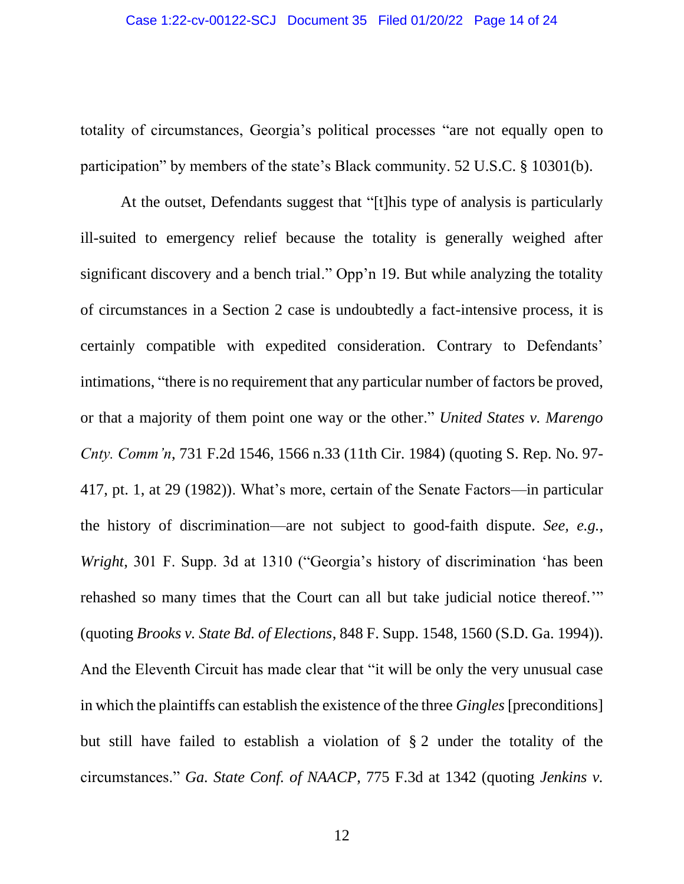totality of circumstances, Georgia's political processes "are not equally open to participation" by members of the state's Black community. 52 U.S.C. § 10301(b).

At the outset, Defendants suggest that "[t]his type of analysis is particularly ill-suited to emergency relief because the totality is generally weighed after significant discovery and a bench trial." Opp'n 19. But while analyzing the totality of circumstances in a Section 2 case is undoubtedly a fact-intensive process, it is certainly compatible with expedited consideration. Contrary to Defendants' intimations, "there is no requirement that any particular number of factors be proved, or that a majority of them point one way or the other." *United States v. Marengo Cnty. Comm'n*, 731 F.2d 1546, 1566 n.33 (11th Cir. 1984) (quoting S. Rep. No. 97- 417, pt. 1, at 29 (1982)). What's more, certain of the Senate Factors—in particular the history of discrimination—are not subject to good-faith dispute. *See, e.g.*, *Wright*, 301 F. Supp. 3d at 1310 ("Georgia's history of discrimination 'has been rehashed so many times that the Court can all but take judicial notice thereof.'" (quoting *Brooks v. State Bd. of Elections*, 848 F. Supp. 1548, 1560 (S.D. Ga. 1994)). And the Eleventh Circuit has made clear that "it will be only the very unusual case in which the plaintiffs can establish the existence of the three *Gingles* [preconditions] but still have failed to establish a violation of § 2 under the totality of the circumstances." *Ga. State Conf. of NAACP*, 775 F.3d at 1342 (quoting *Jenkins v.*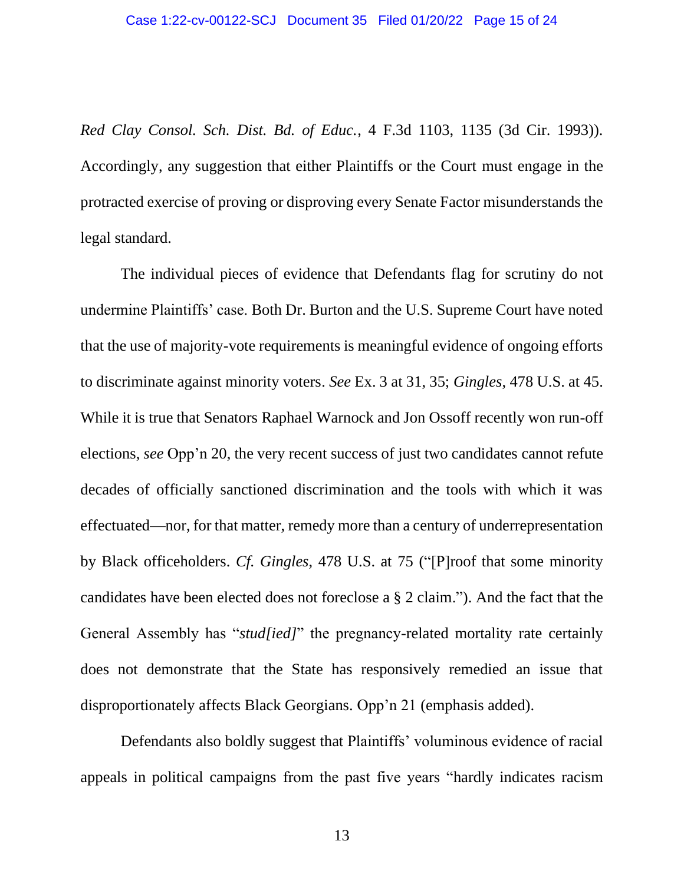*Red Clay Consol. Sch. Dist. Bd. of Educ.*, 4 F.3d 1103, 1135 (3d Cir. 1993)). Accordingly, any suggestion that either Plaintiffs or the Court must engage in the protracted exercise of proving or disproving every Senate Factor misunderstands the legal standard.

The individual pieces of evidence that Defendants flag for scrutiny do not undermine Plaintiffs' case. Both Dr. Burton and the U.S. Supreme Court have noted that the use of majority-vote requirements is meaningful evidence of ongoing efforts to discriminate against minority voters. *See* Ex. 3 at 31, 35; *Gingles*, 478 U.S. at 45. While it is true that Senators Raphael Warnock and Jon Ossoff recently won run-off elections, *see* Opp'n 20, the very recent success of just two candidates cannot refute decades of officially sanctioned discrimination and the tools with which it was effectuated—nor, for that matter, remedy more than a century of underrepresentation by Black officeholders. *Cf. Gingles*, 478 U.S. at 75 ("[P]roof that some minority candidates have been elected does not foreclose a § 2 claim."). And the fact that the General Assembly has "*stud[ied]*" the pregnancy-related mortality rate certainly does not demonstrate that the State has responsively remedied an issue that disproportionately affects Black Georgians. Opp'n 21 (emphasis added).

Defendants also boldly suggest that Plaintiffs' voluminous evidence of racial appeals in political campaigns from the past five years "hardly indicates racism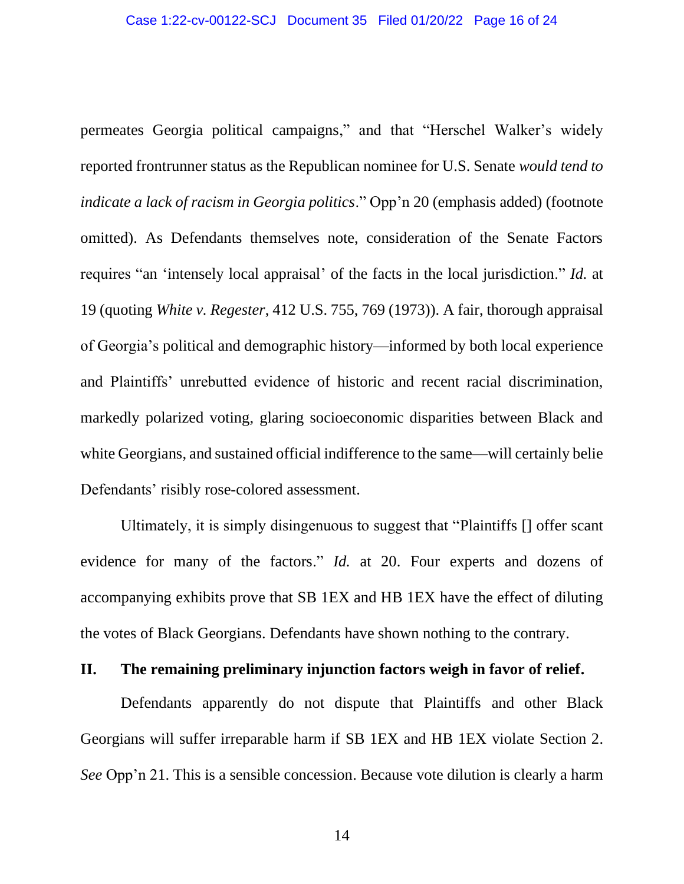permeates Georgia political campaigns," and that "Herschel Walker's widely reported frontrunner status as the Republican nominee for U.S. Senate *would tend to indicate a lack of racism in Georgia politics*." Opp'n 20 (emphasis added) (footnote omitted). As Defendants themselves note, consideration of the Senate Factors requires "an 'intensely local appraisal' of the facts in the local jurisdiction." *Id.* at 19 (quoting *White v. Regester*, 412 U.S. 755, 769 (1973)). A fair, thorough appraisal of Georgia's political and demographic history—informed by both local experience and Plaintiffs' unrebutted evidence of historic and recent racial discrimination, markedly polarized voting, glaring socioeconomic disparities between Black and white Georgians, and sustained official indifference to the same—will certainly belie Defendants' risibly rose-colored assessment.

Ultimately, it is simply disingenuous to suggest that "Plaintiffs [] offer scant evidence for many of the factors." *Id.* at 20. Four experts and dozens of accompanying exhibits prove that SB 1EX and HB 1EX have the effect of diluting the votes of Black Georgians. Defendants have shown nothing to the contrary.

### <span id="page-15-0"></span>**II. The remaining preliminary injunction factors weigh in favor of relief.**

Defendants apparently do not dispute that Plaintiffs and other Black Georgians will suffer irreparable harm if SB 1EX and HB 1EX violate Section 2. *See* Opp'n 21. This is a sensible concession. Because vote dilution is clearly a harm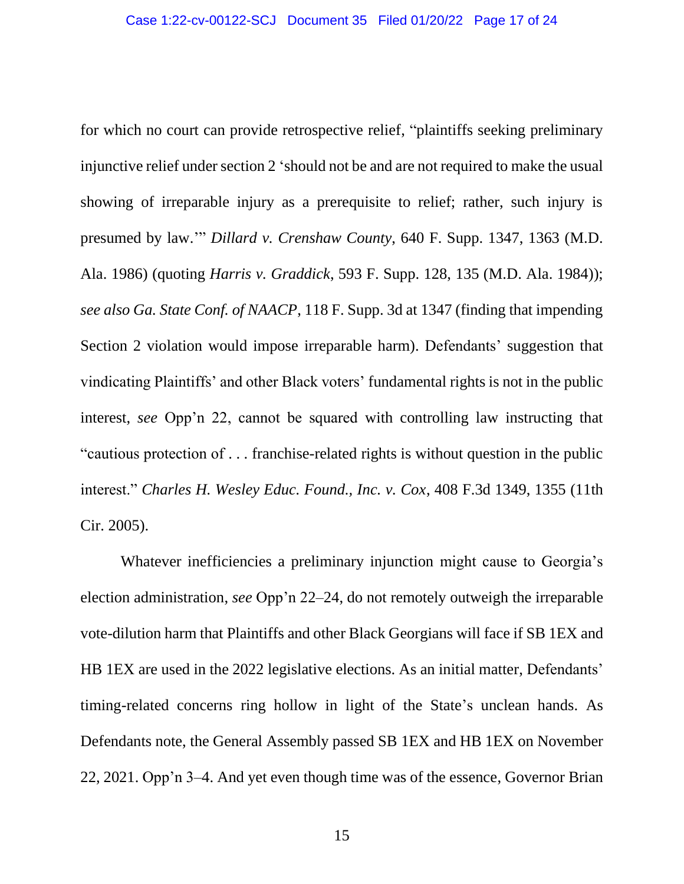for which no court can provide retrospective relief, "plaintiffs seeking preliminary injunctive relief under section 2 'should not be and are not required to make the usual showing of irreparable injury as a prerequisite to relief; rather, such injury is presumed by law.'" *Dillard v. Crenshaw County*, 640 F. Supp. 1347, 1363 (M.D. Ala. 1986) (quoting *Harris v. Graddick*, 593 F. Supp. 128, 135 (M.D. Ala. 1984)); *see also Ga. State Conf. of NAACP*, 118 F. Supp. 3d at 1347 (finding that impending Section 2 violation would impose irreparable harm). Defendants' suggestion that vindicating Plaintiffs' and other Black voters' fundamental rights is not in the public interest, *see* Opp'n 22, cannot be squared with controlling law instructing that "cautious protection of . . . franchise-related rights is without question in the public interest." *Charles H. Wesley Educ. Found., Inc. v. Cox*, 408 F.3d 1349, 1355 (11th Cir. 2005).

Whatever inefficiencies a preliminary injunction might cause to Georgia's election administration, *see* Opp'n 22–24, do not remotely outweigh the irreparable vote-dilution harm that Plaintiffs and other Black Georgians will face if SB 1EX and HB 1EX are used in the 2022 legislative elections. As an initial matter, Defendants' timing-related concerns ring hollow in light of the State's unclean hands. As Defendants note, the General Assembly passed SB 1EX and HB 1EX on November 22, 2021. Opp'n 3–4. And yet even though time was of the essence, Governor Brian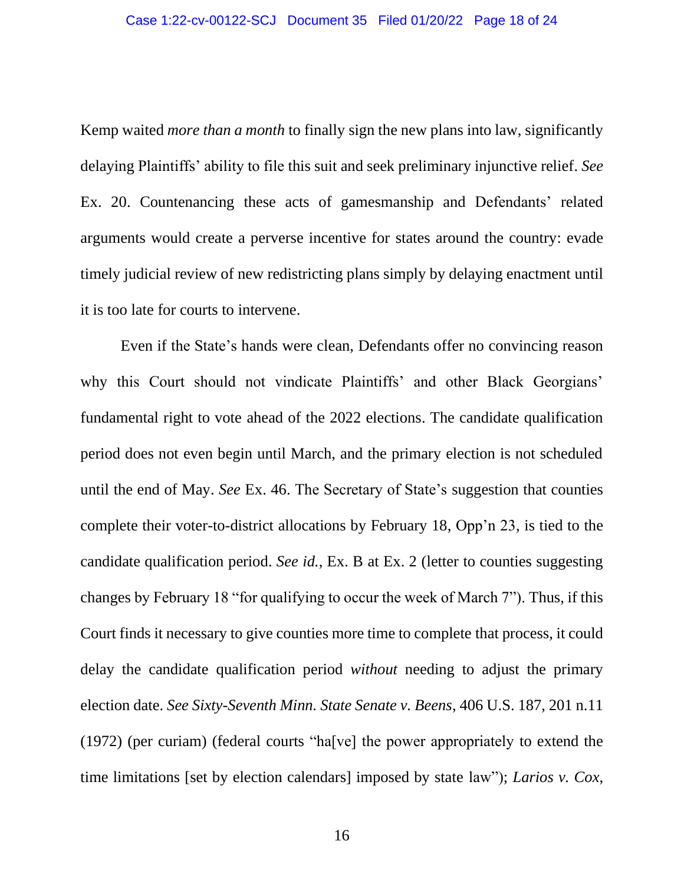#### Case 1:22-cv-00122-SCJ Document 35 Filed 01/20/22 Page 18 of 24

Kemp waited *more than a month* to finally sign the new plans into law, significantly delaying Plaintiffs' ability to file this suit and seek preliminary injunctive relief. *See* Ex. 20. Countenancing these acts of gamesmanship and Defendants' related arguments would create a perverse incentive for states around the country: evade timely judicial review of new redistricting plans simply by delaying enactment until it is too late for courts to intervene.

Even if the State's hands were clean, Defendants offer no convincing reason why this Court should not vindicate Plaintiffs' and other Black Georgians' fundamental right to vote ahead of the 2022 elections. The candidate qualification period does not even begin until March, and the primary election is not scheduled until the end of May. *See* Ex. 46. The Secretary of State's suggestion that counties complete their voter-to-district allocations by February 18, Opp'n 23, is tied to the candidate qualification period. *See id.*, Ex. B at Ex. 2 (letter to counties suggesting changes by February 18 "for qualifying to occur the week of March 7"). Thus, if this Court finds it necessary to give counties more time to complete that process, it could delay the candidate qualification period *without* needing to adjust the primary election date. *See Sixty-Seventh Minn. State Senate v. Beens*, 406 U.S. 187, 201 n.11 (1972) (per curiam) (federal courts "ha[ve] the power appropriately to extend the time limitations [set by election calendars] imposed by state law"); *Larios v. Cox*,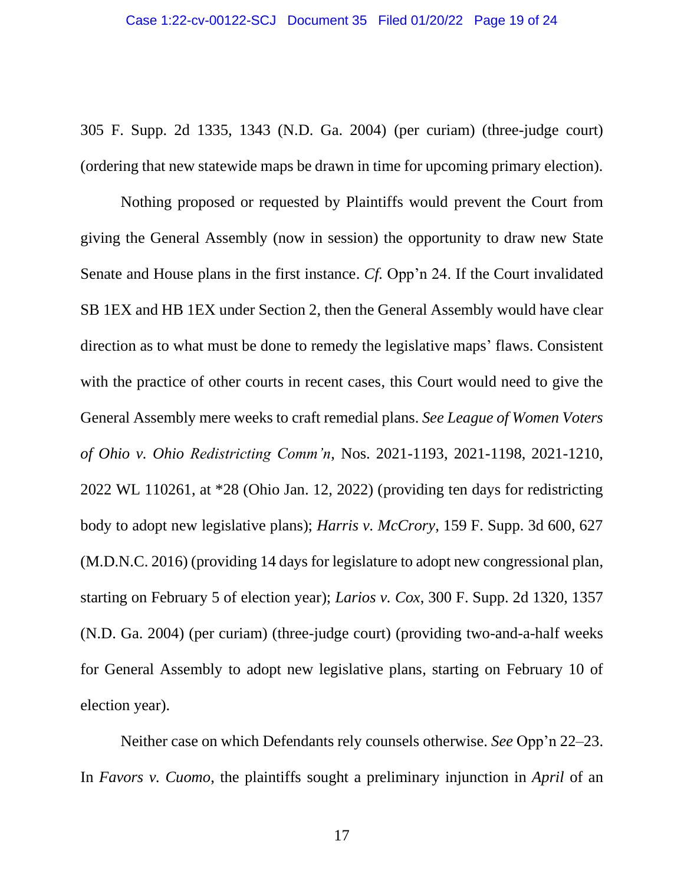305 F. Supp. 2d 1335, 1343 (N.D. Ga. 2004) (per curiam) (three-judge court) (ordering that new statewide maps be drawn in time for upcoming primary election).

Nothing proposed or requested by Plaintiffs would prevent the Court from giving the General Assembly (now in session) the opportunity to draw new State Senate and House plans in the first instance. *Cf.* Opp'n 24. If the Court invalidated SB 1EX and HB 1EX under Section 2, then the General Assembly would have clear direction as to what must be done to remedy the legislative maps' flaws. Consistent with the practice of other courts in recent cases, this Court would need to give the General Assembly mere weeks to craft remedial plans. *See League of Women Voters of Ohio v. Ohio Redistricting Comm'n*, Nos. 2021-1193, 2021-1198, 2021-1210, 2022 WL 110261, at \*28 (Ohio Jan. 12, 2022) (providing ten days for redistricting body to adopt new legislative plans); *Harris v. McCrory*, 159 F. Supp. 3d 600, 627 (M.D.N.C. 2016) (providing 14 days for legislature to adopt new congressional plan, starting on February 5 of election year); *Larios v. Cox*, 300 F. Supp. 2d 1320, 1357 (N.D. Ga. 2004) (per curiam) (three-judge court) (providing two-and-a-half weeks for General Assembly to adopt new legislative plans, starting on February 10 of election year).

Neither case on which Defendants rely counsels otherwise. *See* Opp'n 22–23. In *Favors v. Cuomo*, the plaintiffs sought a preliminary injunction in *April* of an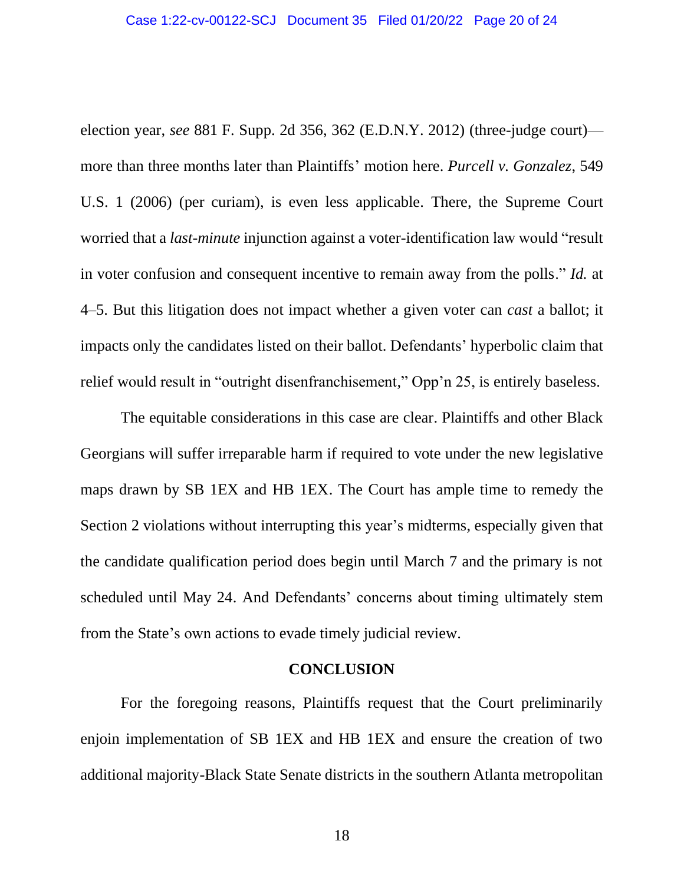election year, *see* 881 F. Supp. 2d 356, 362 (E.D.N.Y. 2012) (three-judge court) more than three months later than Plaintiffs' motion here. *Purcell v. Gonzalez*, 549 U.S. 1 (2006) (per curiam), is even less applicable. There, the Supreme Court worried that a *last-minute* injunction against a voter-identification law would "result in voter confusion and consequent incentive to remain away from the polls." *Id.* at 4–5. But this litigation does not impact whether a given voter can *cast* a ballot; it impacts only the candidates listed on their ballot. Defendants' hyperbolic claim that relief would result in "outright disenfranchisement," Opp'n 25, is entirely baseless.

The equitable considerations in this case are clear. Plaintiffs and other Black Georgians will suffer irreparable harm if required to vote under the new legislative maps drawn by SB 1EX and HB 1EX. The Court has ample time to remedy the Section 2 violations without interrupting this year's midterms, especially given that the candidate qualification period does begin until March 7 and the primary is not scheduled until May 24. And Defendants' concerns about timing ultimately stem from the State's own actions to evade timely judicial review.

#### **CONCLUSION**

<span id="page-19-0"></span>For the foregoing reasons, Plaintiffs request that the Court preliminarily enjoin implementation of SB 1EX and HB 1EX and ensure the creation of two additional majority-Black State Senate districts in the southern Atlanta metropolitan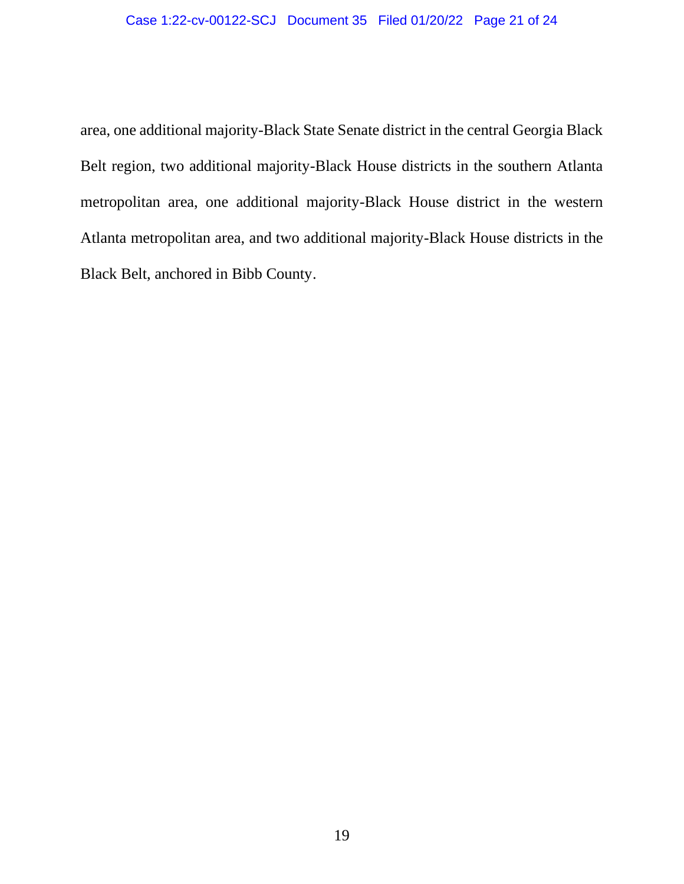area, one additional majority-Black State Senate district in the central Georgia Black Belt region, two additional majority-Black House districts in the southern Atlanta metropolitan area, one additional majority-Black House district in the western Atlanta metropolitan area, and two additional majority-Black House districts in the Black Belt, anchored in Bibb County.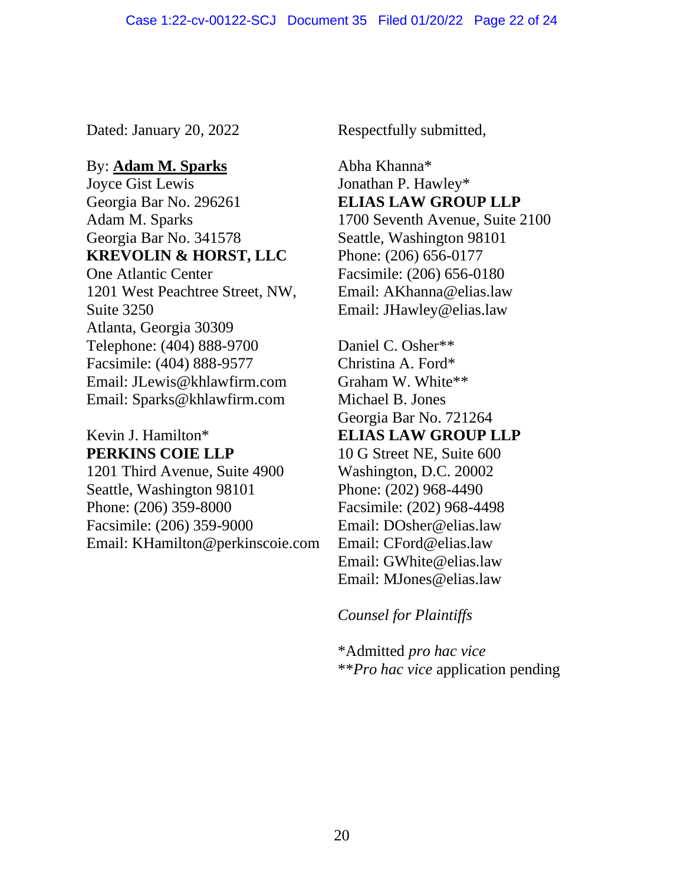Dated: January 20, 2022 Respectfully submitted,

### By: **Adam M. Sparks**

Joyce Gist Lewis Georgia Bar No. 296261 Adam M. Sparks Georgia Bar No. 341578 **KREVOLIN & HORST, LLC**

One Atlantic Center 1201 West Peachtree Street, NW, Suite 3250 Atlanta, Georgia 30309 Telephone: (404) 888-9700 Facsimile: (404) 888-9577 Email: JLewis@khlawfirm.com Email: Sparks@khlawfirm.com

## Kevin J. Hamilton\* **PERKINS COIE LLP**

1201 Third Avenue, Suite 4900 Seattle, Washington 98101 Phone: (206) 359-8000 Facsimile: (206) 359-9000 Email: KHamilton@perkinscoie.com

Abha Khanna\* Jonathan P. Hawley\* **ELIAS LAW GROUP LLP** 1700 Seventh Avenue, Suite 2100 Seattle, Washington 98101 Phone: (206) 656-0177 Facsimile: (206) 656-0180 Email: AKhanna@elias.law Email: JHawley@elias.law

Daniel C. Osher\*\* Christina A. Ford\* Graham W. White\*\* Michael B. Jones Georgia Bar No. 721264 **ELIAS LAW GROUP LLP** 10 G Street NE, Suite 600 Washington, D.C. 20002 Phone: (202) 968-4490 Facsimile: (202) 968-4498 Email: DOsher@elias.law Email: CFord@elias.law Email: GWhite@elias.law Email: MJones@elias.law

## *Counsel for Plaintiffs*

\*Admitted *pro hac vice* \*\**Pro hac vice* application pending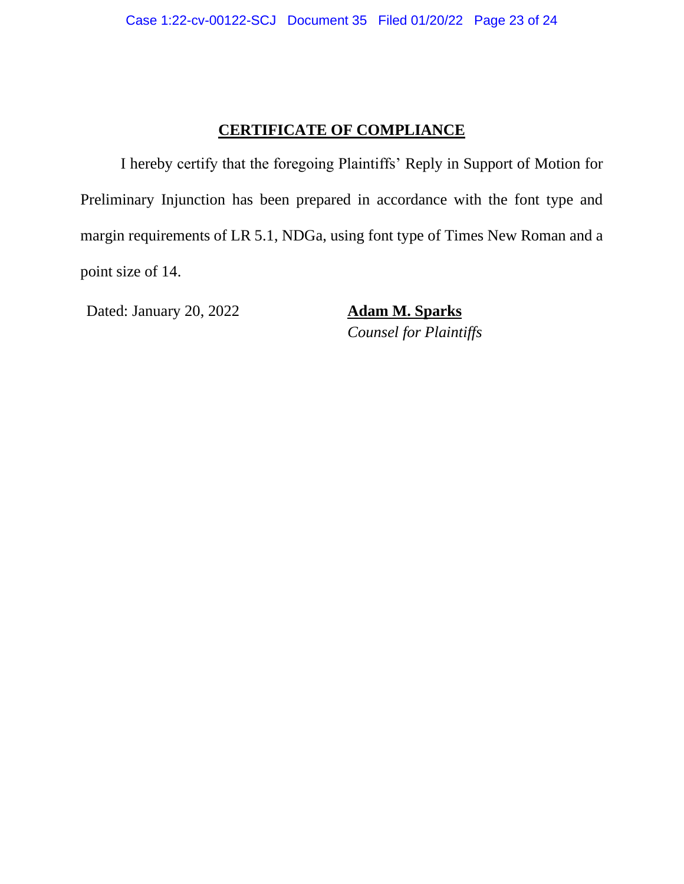### **CERTIFICATE OF COMPLIANCE**

I hereby certify that the foregoing Plaintiffs' Reply in Support of Motion for Preliminary Injunction has been prepared in accordance with the font type and margin requirements of LR 5.1, NDGa, using font type of Times New Roman and a point size of 14.

Dated: January 20, 2022 **Adam M. Sparks**

*Counsel for Plaintiffs*